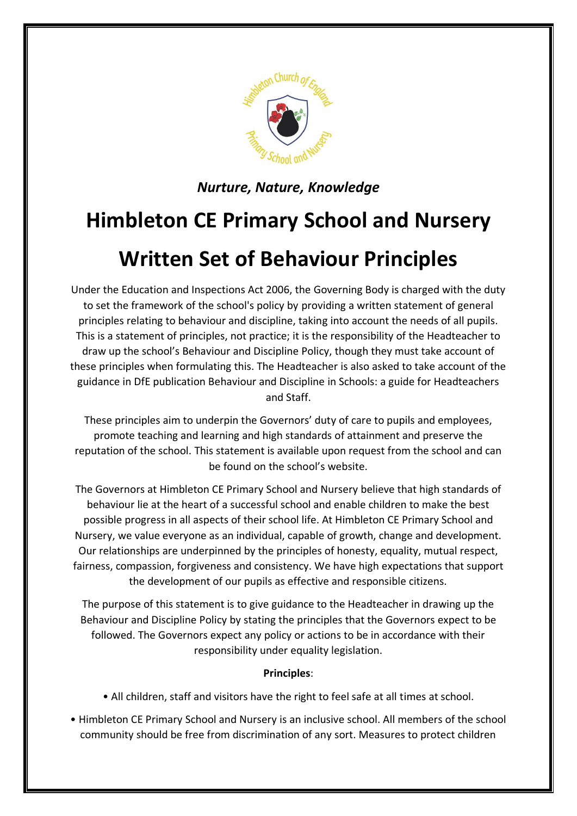

*Nurture, Nature, Knowledge*

## **Himbleton CE Primary School and Nursery**

## **Written Set of Behaviour Principles**

Under the Education and Inspections Act 2006, the Governing Body is charged with the duty to set the framework of the school's policy by providing a written statement of general principles relating to behaviour and discipline, taking into account the needs of all pupils. This is a statement of principles, not practice; it is the responsibility of the Headteacher to draw up the school's Behaviour and Discipline Policy, though they must take account of these principles when formulating this. The Headteacher is also asked to take account of the guidance in DfE publication Behaviour and Discipline in Schools: a guide for Headteachers and Staff.

These principles aim to underpin the Governors' duty of care to pupils and employees, promote teaching and learning and high standards of attainment and preserve the reputation of the school. This statement is available upon request from the school and can be found on the school's website.

The Governors at Himbleton CE Primary School and Nursery believe that high standards of behaviour lie at the heart of a successful school and enable children to make the best possible progress in all aspects of their school life. At Himbleton CE Primary School and Nursery, we value everyone as an individual, capable of growth, change and development. Our relationships are underpinned by the principles of honesty, equality, mutual respect, fairness, compassion, forgiveness and consistency. We have high expectations that support the development of our pupils as effective and responsible citizens.

The purpose of this statement is to give guidance to the Headteacher in drawing up the Behaviour and Discipline Policy by stating the principles that the Governors expect to be followed. The Governors expect any policy or actions to be in accordance with their responsibility under equality legislation.

## **Principles**:

- All children, staff and visitors have the right to feel safe at all times at school.
- Himbleton CE Primary School and Nursery is an inclusive school. All members of the school community should be free from discrimination of any sort. Measures to protect children